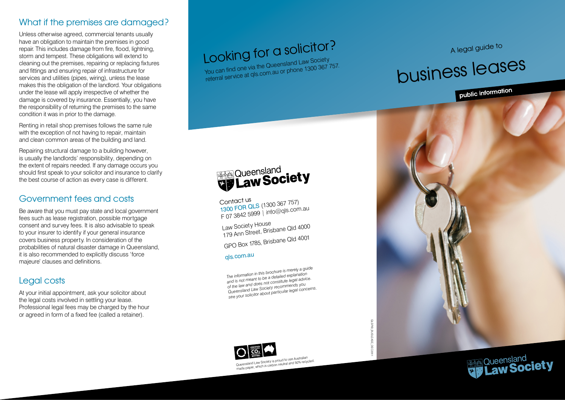#### What if the premises are damaged?

Unless otherwise agreed, commercial tenants usually have an obligation to maintain the premises in good repair. This includes damage from fire, flood, lightning, storm and tempest. These obligations will extend to cleaning out the premises, repairing or replacing fixtures and fittings and ensuring repair of infrastructure for services and utilities (pipes, wiring), unless the lease makes this the obligation of the landlord. Your obligations under the lease will apply irrespective of whether the damage is covered by insurance. Essentially, you have the responsibility of returning the premises to the same condition it was in prior to the damage.

Renting in retail shop premises follows the same rule with the exception of not having to repair, maintain and clean common areas of the building and land.

Repairing structural damage to a building however, is usually the landlords' responsibility, depending on the extent of repairs needed. If any damage occurs you should first speak to your solicitor and insurance to clarify the best course of action as every case is different.

### Government fees and costs

Be aware that you must pay state and local government fees such as lease registration, possible mortgage consent and survey fees. It is also advisable to speak to your insurer to identify if your general insurance covers business property. In consideration of the probabilities of natural disaster damage in Queensland, it is also recommended to explicitly discuss 'force majeure' clauses and definitions.

## Legal costs

At your initial appointment, ask your solicitor about the legal costs involved in settling your lease. Professional legal fees may be charged by the hour or agreed in form of a fixed fee (called a retainer).

# Looking for a solicitor?

You can find one via the Queensland Law Society referral service at qls.com.au or phone 1300 367 757.

# A legal guide to

# business leases

public information





*The information in this brochure is merely a guide and is not meant to be a detailed explanation of the law and does not constitute legal advice. Queensland Law Society recommends you see your solicitor about particular legal concerns.*

Contact us<br>1300 FOR QLS (1300 367 757)<br>1910@als.com F 07 3842 5999 | info@qls.com.au

Queensland<br>**Ry Law Society** 

179 Ann Street, Brisbane Qld 4000 GPO Box 1785, Brisbane Qld 4001

Law Society House

<sup>q</sup>ls.com.au